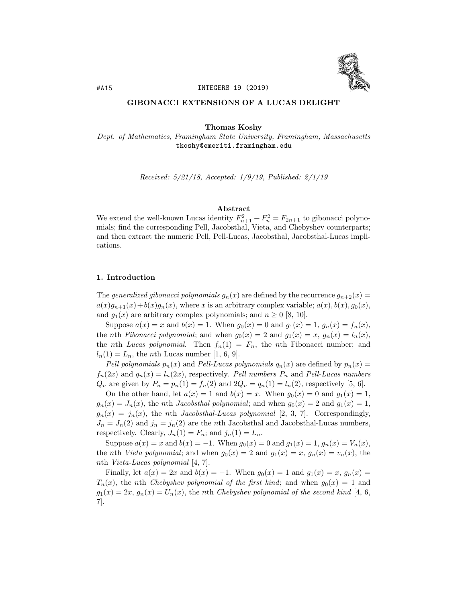

### GIBONACCI EXTENSIONS OF A LUCAS DELIGHT

Thomas Koshy

*Dept. of Mathematics, Framingham State University, Framingham, Massachusetts* tkoshy@emeriti.framingham.edu

*Received: 5/21/18, Accepted: 1/9/19, Published: 2/1/19*

#### Abstract

We extend the well-known Lucas identity  $F_{n+1}^2 + F_n^2 = F_{2n+1}$  to gibonacci polynomials; find the corresponding Pell, Jacobsthal, Vieta, and Chebyshev counterparts; and then extract the numeric Pell, Pell-Lucas, Jacobsthal, Jacobsthal-Lucas implications.

### 1. Introduction

The *generalized gibonacci polynomials*  $g_n(x)$  are defined by the recurrence  $g_{n+2}(x)$  =  $a(x)g_{n+1}(x) + b(x)g_n(x)$ , where *x* is an arbitrary complex variable;  $a(x)$ ,  $b(x)$ ,  $g_0(x)$ , and  $g_1(x)$  are arbitrary complex polynomials; and  $n \geq 0$  [8, 10].

Suppose  $a(x) = x$  and  $b(x) = 1$ . When  $g_0(x) = 0$  and  $g_1(x) = 1$ ,  $g_n(x) = f_n(x)$ , the *n*th *Fibonacci polynomial*; and when  $g_0(x) = 2$  and  $g_1(x) = x$ ,  $g_n(x) = l_n(x)$ , the *n*th *Lucas* polynomial. Then  $f_n(1) = F_n$ , the *n*th Fibonacci number; and  $l_n(1) = L_n$ , the *n*th Lucas number [1, 6, 9].

*Pell* polynomials  $p_n(x)$  and *Pell-Lucas* polynomials  $q_n(x)$  are defined by  $p_n(x)$  $f_n(2x)$  and  $q_n(x) = l_n(2x)$ , respectively. Pell *numbers*  $P_n$  and *Pell-Lucas numbers Q*<sub>*n*</sub> are given by  $P_n = p_n(1) = f_n(2)$  and  $2Q_n = q_n(1) = l_n(2)$ , respectively [5, 6].

On the other hand, let  $a(x) = 1$  and  $b(x) = x$ . When  $g_0(x) = 0$  and  $g_1(x) = 1$ ,  $g_n(x) = J_n(x)$ , the *n*th *Jacobsthal polynomial*; and when  $g_0(x) = 2$  and  $g_1(x) = 1$ ,  $g_n(x) = j_n(x)$ , the *n*th *Jacobsthal-Lucas polynomial* [2, 3, 7]. Correspondingly,  $J_n = J_n(2)$  and  $j_n = j_n(2)$  are the *n*th Jacobsthal and Jacobsthal-Lucas numbers, respectively. Clearly,  $J_n(1) = F_n$ ; and  $j_n(1) = L_n$ .

Suppose  $a(x) = x$  and  $b(x) = -1$ . When  $g_0(x) = 0$  and  $g_1(x) = 1$ ,  $g_n(x) = V_n(x)$ , the *n*th *Vieta polynomial*; and when  $g_0(x) = 2$  and  $g_1(x) = x$ ,  $g_n(x) = v_n(x)$ , the *n*th *Vieta-Lucas polynomial* [4, 7].

Finally, let  $a(x) = 2x$  and  $b(x) = -1$ . When  $g_0(x) = 1$  and  $g_1(x) = x$ ,  $g_n(x) =$  $T_n(x)$ , the *n*th *Chebyshev polynomial of the first kind*; and when  $g_0(x) = 1$  and  $g_1(x) = 2x$ ,  $g_n(x) = U_n(x)$ , the *n*th *Chebyshev polynomial of the second kind* [4, 6, 7].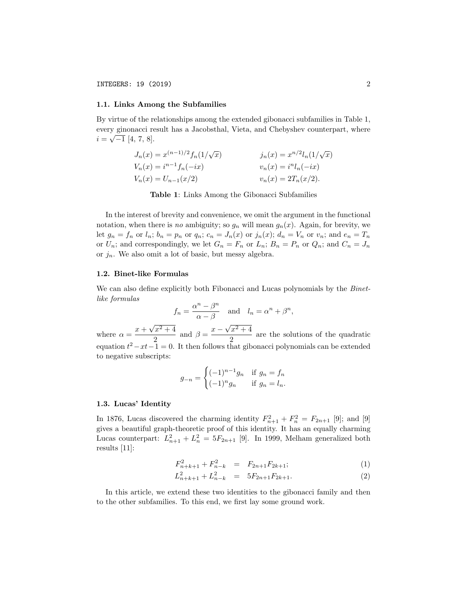#### 1.1. Links Among the Subfamilies

By virtue of the relationships among the extended gibonacci subfamilies in Table 1, every ginonacci result has a Jacobsthal, Vieta, and Chebyshev counterpart, where  $i = \sqrt{-1} [4, 7, 8].$ 

$$
J_n(x) = x^{(n-1)/2} f_n(1/\sqrt{x})
$$
  
\n
$$
J_n(x) = x^{n/2} l_n(1/\sqrt{x})
$$
  
\n
$$
J_n(x) = x^{n/2} l_n(1/\sqrt{x})
$$
  
\n
$$
v_n(x) = i^n l_n(-ix)
$$
  
\n
$$
v_n(x) = 2T_n(x/2).
$$

Table 1: Links Among the Gibonacci Subfamilies

In the interest of brevity and convenience, we omit the argument in the functional notation, when there is *no* ambiguity; so  $g_n$  will mean  $g_n(x)$ . Again, for brevity, we let  $g_n = f_n$  or  $l_n$ ;  $b_n = p_n$  or  $q_n$ ;  $c_n = J_n(x)$  or  $j_n(x)$ ;  $d_n = V_n$  or  $v_n$ ; and  $e_n = T_n$ or  $U_n$ ; and correspondingly, we let  $G_n = F_n$  or  $L_n$ ;  $B_n = P_n$  or  $Q_n$ ; and  $C_n = J_n$ or *jn*. We also omit a lot of basic, but messy algebra.

#### 1.2. Binet-like Formulas

We can also define explicitly both Fibonacci and Lucas polynomials by the *Binetlike formulas*

$$
f_n = \frac{\alpha^n - \beta^n}{\alpha - \beta}
$$
 and  $l_n = \alpha^n + \beta^n$ ,

where  $\alpha = \frac{x + \sqrt{x^2 + 4}}{2}$  $\frac{\sqrt{x^2+4}}{2}$  and  $\beta = \frac{x-\sqrt{x^2+4}}{2}$  $\frac{2}{2}$  are the solutions of the quadratic equation  $t^2 - xt - 1 = 0$ . It then follows that gibonacci polynomials can be extended to negative subscripts:

$$
g_{-n} = \begin{cases} (-1)^{n-1} g_n & \text{if } g_n = f_n \\ (-1)^n g_n & \text{if } g_n = l_n. \end{cases}
$$

#### 1.3. Lucas' Identity

In 1876, Lucas discovered the charming identity  $F_{n+1}^2 + F_n^2 = F_{2n+1}$  [9]; and [9] gives a beautiful graph-theoretic proof of this identity. It has an equally charming Lucas counterpart:  $L_{n+1}^2 + L_n^2 = 5F_{2n+1}$  [9]. In 1999, Melham generalized both results [11]:

$$
F_{n+k+1}^2 + F_{n-k}^2 = F_{2n+1}F_{2k+1};
$$
\n(1)

$$
L_{n+k+1}^2 + L_{n-k}^2 = 5F_{2n+1}F_{2k+1}.
$$
 (2)

In this article, we extend these two identities to the gibonacci family and then to the other subfamilies. To this end, we first lay some ground work.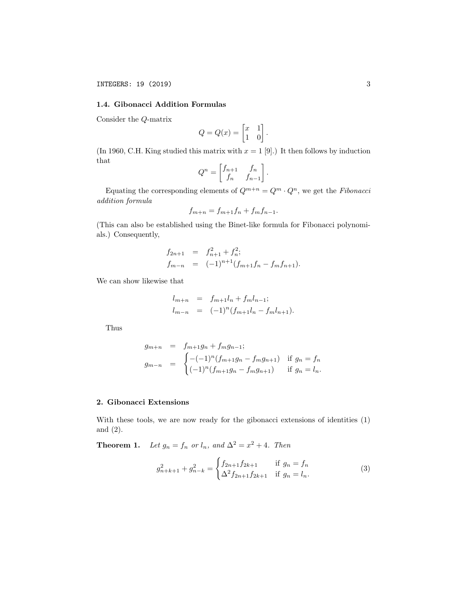### 1.4. Gibonacci Addition Formulas

Consider the *Q*-matrix

$$
Q = Q(x) = \begin{bmatrix} x & 1 \\ 1 & 0 \end{bmatrix}.
$$

(In 1960, C.H. King studied this matrix with  $x = 1$  [9].) It then follows by induction that  $\overline{a}$  $\overline{1}$ 

$$
Q^n = \begin{bmatrix} f_{n+1} & f_n \\ f_n & f_{n-1} \end{bmatrix}.
$$

Equating the corresponding elements of  $Q^{m+n} = Q^m \cdot Q^n$ , we get the *Fibonacci addition formula*

$$
f_{m+n} = f_{m+1}f_n + f_m f_{n-1}.
$$

(This can also be established using the Binet-like formula for Fibonacci polynomials.) Consequently,

$$
f_{2n+1} = f_{n+1}^2 + f_n^2;
$$
  
\n
$$
f_{m-n} = (-1)^{n+1} (f_{m+1}f_n - f_m f_{n+1}).
$$

We can show likewise that

$$
l_{m+n} = f_{m+1}l_n + f_m l_{n-1};
$$
  
\n
$$
l_{m-n} = (-1)^n (f_{m+1}l_n - f_m l_{n+1}).
$$

Thus

$$
g_{m+n} = f_{m+1}g_n + f_m g_{n-1};
$$
  
\n
$$
g_{m-n} = \begin{cases} -(-1)^n (f_{m+1}g_n - f_m g_{n+1}) & \text{if } g_n = f_n \\ (-1)^n (f_{m+1}g_n - f_m g_{n+1}) & \text{if } g_n = l_n. \end{cases}
$$

# 2. Gibonacci Extensions

With these tools, we are now ready for the gibonacci extensions of identities (1) and (2).

**Theorem 1.** Let  $g_n = f_n$  or  $l_n$ , and  $\Delta^2 = x^2 + 4$ . Then

$$
g_{n+k+1}^2 + g_{n-k}^2 = \begin{cases} f_{2n+1}f_{2k+1} & \text{if } g_n = f_n \\ \Delta^2 f_{2n+1}f_{2k+1} & \text{if } g_n = l_n. \end{cases}
$$
 (3)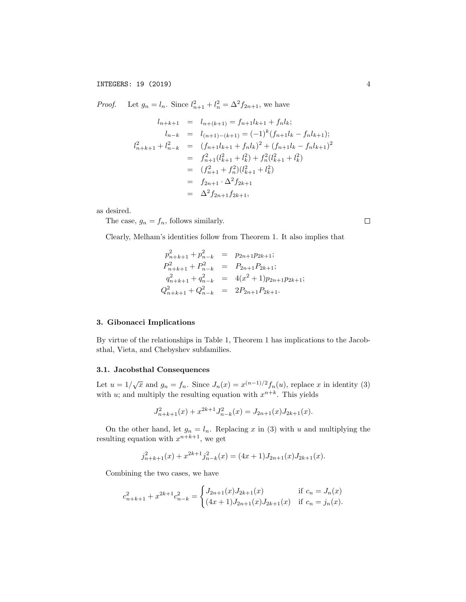*Proof.* Let  $g_n = l_n$ . Since  $l_{n+1}^2 + l_n^2 = \Delta^2 f_{2n+1}$ , we have

$$
l_{n+k+1} = l_{n+(k+1)} = f_{n+1}l_{k+1} + f_n l_k;
$$
  
\n
$$
l_{n-k} = l_{(n+1)-(k+1)} = (-1)^k (f_{n+1}l_k - f_n l_{k+1});
$$
  
\n
$$
l_{n+k+1}^2 + l_{n-k}^2 = (f_{n+1}l_{k+1} + f_n l_k)^2 + (f_{n+1}l_k - f_n l_{k+1})^2
$$
  
\n
$$
= f_{n+1}^2 (l_{k+1}^2 + l_k^2) + f_n^2 (l_{k+1}^2 + l_k^2)
$$
  
\n
$$
= (f_{n+1}^2 + f_n^2)(l_{k+1}^2 + l_k^2)
$$
  
\n
$$
= f_{2n+1} \cdot \Delta^2 f_{2k+1}
$$
  
\n
$$
= \Delta^2 f_{2n+1} f_{2k+1},
$$

as desired.

The case,  $g_n = f_n$ , follows similarly.

Clearly, Melham's identities follow from Theorem 1. It also implies that

$$
p_{n+k+1}^2 + p_{n-k}^2 = p_{2n+1}p_{2k+1};
$$
  
\n
$$
p_{n+k+1}^2 + p_{n-k}^2 = P_{2n+1}P_{2k+1};
$$
  
\n
$$
q_{n+k+1}^2 + q_{n-k}^2 = 4(x^2 + 1)p_{2n+1}p_{2k+1};
$$
  
\n
$$
Q_{n+k+1}^2 + Q_{n-k}^2 = 2P_{2n+1}P_{2k+1}.
$$

# 3. Gibonacci Implications

By virtue of the relationships in Table 1, Theorem 1 has implications to the Jacobsthal, Vieta, and Chebyshev subfamilies.

# 3.1. Jacobsthal Consequences

Let  $u = 1/\sqrt{x}$  and  $g_n = f_n$ . Since  $J_n(x) = x^{(n-1)/2} f_n(u)$ , replace *x* in identity (3) with *u*; and multiply the resulting equation with  $x^{n+k}$ . This yields

$$
J_{n+k+1}^{2}(x) + x^{2k+1}J_{n-k}^{2}(x) = J_{2n+1}(x)J_{2k+1}(x).
$$

On the other hand, let  $g_n = l_n$ . Replacing *x* in (3) with *u* and multiplying the resulting equation with  $x^{n+k+1}$ , we get

$$
j_{n+k+1}^{2}(x) + x^{2k+1}j_{n-k}^{2}(x) = (4x+1)J_{2n+1}(x)J_{2k+1}(x).
$$

Combining the two cases, we have

$$
c_{n+k+1}^2 + x^{2k+1}c_{n-k}^2 = \begin{cases} J_{2n+1}(x)J_{2k+1}(x) & \text{if } c_n = J_n(x) \\ (4x+1)J_{2n+1}(x)J_{2k+1}(x) & \text{if } c_n = j_n(x). \end{cases}
$$

 $\Box$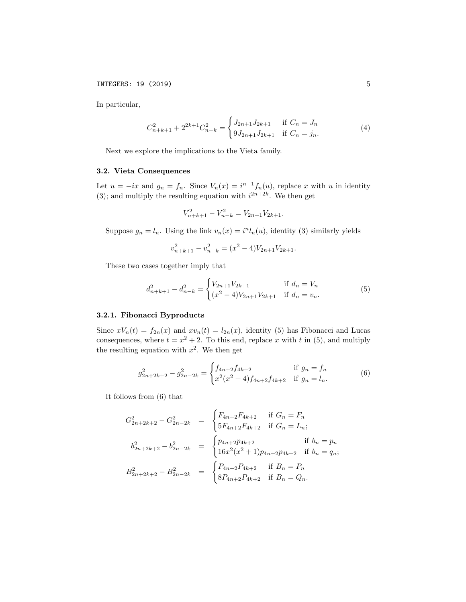In particular,

$$
C_{n+k+1}^2 + 2^{2k+1}C_{n-k}^2 = \begin{cases} J_{2n+1}J_{2k+1} & \text{if } C_n = J_n \\ 9J_{2n+1}J_{2k+1} & \text{if } C_n = j_n. \end{cases}
$$
 (4)

Next we explore the implications to the Vieta family.

# 3.2. Vieta Consequences

Let  $u = -ix$  and  $g_n = f_n$ . Since  $V_n(x) = i^{n-1} f_n(u)$ , replace *x* with *u* in identity (3); and multiply the resulting equation with  $i^{2n+2k}$ . We then get

$$
V_{n+k+1}^2 - V_{n-k}^2 = V_{2n+1}V_{2k+1}.
$$

Suppose  $g_n = l_n$ . Using the link  $v_n(x) = i^n l_n(u)$ , identity (3) similarly yields

$$
v_{n+k+1}^2 - v_{n-k}^2 = (x^2 - 4)V_{2n+1}V_{2k+1}.
$$

These two cases together imply that

$$
d_{n+k+1}^2 - d_{n-k}^2 = \begin{cases} V_{2n+1}V_{2k+1} & \text{if } d_n = V_n \\ (x^2 - 4)V_{2n+1}V_{2k+1} & \text{if } d_n = v_n. \end{cases}
$$
 (5)

## 3.2.1. Fibonacci Byproducts

Since  $xV_n(t) = f_{2n}(x)$  and  $xv_n(t) = l_{2n}(x)$ , identity (5) has Fibonacci and Lucas consequences, where  $t = x^2 + 2$ . To this end, replace x with t in (5), and multiply the resulting equation with  $x^2$ . We then get

 $\overline{\phantom{a}}$ 

 $\lambda$ 

$$
g_{2n+2k+2}^2 - g_{2n-2k}^2 = \begin{cases} f_{4n+2}f_{4k+2} & \text{if } g_n = f_n \\ x^2(x^2+4)f_{4n+2}f_{4k+2} & \text{if } g_n = l_n. \end{cases}
$$
 (6)

It follows from (6) that

$$
G_{2n+2k+2}^2 - G_{2n-2k}^2 = \begin{cases} F_{4n+2}F_{4k+2} & \text{if } G_n = F_n \\ 5F_{4n+2}F_{4k+2} & \text{if } G_n = L_n; \end{cases}
$$
  
\n
$$
b_{2n+2k+2}^2 - b_{2n-2k}^2 = \begin{cases} p_{4n+2}p_{4k+2} & \text{if } b_n = p_n \\ 16x^2(x^2+1)p_{4n+2}p_{4k+2} & \text{if } b_n = q_n; \end{cases}
$$
  
\n
$$
B_{2n+2k+2}^2 - B_{2n-2k}^2 = \begin{cases} P_{4n+2}P_{4k+2} & \text{if } B_n = P_n \\ 8P_{4n+2}P_{4k+2} & \text{if } B_n = Q_n. \end{cases}
$$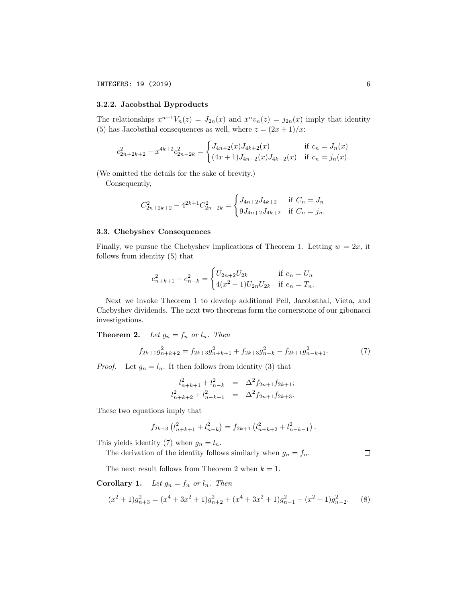# 3.2.2. Jacobsthal Byproducts

The relationships  $x^{n-1}V_n(z) = J_{2n}(x)$  and  $x^n v_n(z) = j_{2n}(x)$  imply that identity (5) has Jacobsthal consequences as well, where  $z = (2x + 1)/x$ :

$$
c_{2n+2k+2}^2 - x^{4k+2}c_{2n-2k}^2 = \begin{cases} J_{4n+2}(x)J_{4k+2}(x) & \text{if } c_n = J_n(x) \\ (4x+1)J_{4n+2}(x)J_{4k+2}(x) & \text{if } c_n = j_n(x). \end{cases}
$$

(We omitted the details for the sake of brevity.)

Consequently,

$$
C_{2n+2k+2}^2 - 4^{2k+1}C_{2n-2k}^2 = \begin{cases} J_{4n+2}J_{4k+2} & \text{if } C_n = J_n \\ 9J_{4n+2}J_{4k+2} & \text{if } C_n = j_n. \end{cases}
$$

#### 3.3. Chebyshev Consequences

Finally, we pursue the Chebyshev implications of Theorem 1. Letting  $w = 2x$ , it follows from identity (5) that

$$
e_{n+k+1}^2 - e_{n-k}^2 = \begin{cases} U_{2n+2}U_{2k} & \text{if } e_n = U_n \\ 4(x^2 - 1)U_{2n}U_{2k} & \text{if } e_n = T_n. \end{cases}
$$

Next we invoke Theorem 1 to develop additional Pell, Jacobsthal, Vieta, and Chebyshev dividends. The next two theorems form the cornerstone of our gibonacci investigations.

**Theorem 2.** *Let*  $g_n = f_n$  *or*  $l_n$ *. Then* 

$$
f_{2k+1}g_{n+k+2}^2 = f_{2k+3}g_{n+k+1}^2 + f_{2k+3}g_{n-k}^2 - f_{2k+1}g_{n-k+1}^2.
$$
 (7)

*Proof.* Let  $g_n = l_n$ . It then follows from identity (3) that

$$
l_{n+k+1}^2 + l_{n-k}^2 = \Delta^2 f_{2n+1} f_{2k+1};
$$
  

$$
l_{n+k+2}^2 + l_{n-k-1}^2 = \Delta^2 f_{2n+1} f_{2k+3}.
$$

These two equations imply that

$$
f_{2k+3} (l_{n+k+1}^2 + l_{n-k}^2) = f_{2k+1} (l_{n+k+2}^2 + l_{n-k-1}^2).
$$

This yields identity (7) when  $g_n = l_n$ .

 $\Box$ The derivation of the identity follows similarly when  $g_n = f_n$ .

The next result follows from Theorem 2 when  $k = 1$ .

Corollary 1. Let  $g_n = f_n$  or  $l_n$ . Then

$$
(x^{2} + 1)g_{n+3}^{2} = (x^{4} + 3x^{2} + 1)g_{n+2}^{2} + (x^{4} + 3x^{2} + 1)g_{n-1}^{2} - (x^{2} + 1)g_{n-2}^{2}.
$$
 (8)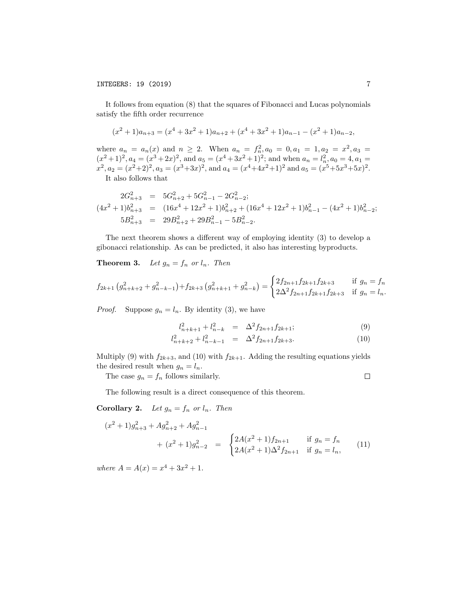It follows from equation (8) that the squares of Fibonacci and Lucas polynomials satisfy the fifth order recurrence

$$
(x^{2}+1)a_{n+3} = (x^{4}+3x^{2}+1)a_{n+2} + (x^{4}+3x^{2}+1)a_{n-1} - (x^{2}+1)a_{n-2},
$$

where  $a_n = a_n(x)$  and  $n \ge 2$ . When  $a_n = f_n^2, a_0 = 0, a_1 = 1, a_2 = x^2, a_3 = 0$  $(x^2+1)^2$ ,  $a_4 = (x^3+2x)^2$ , and  $a_5 = (x^4+3x^2+1)^2$ ; and when  $a_n = l_n^2$ ,  $a_0 = 4$ ,  $a_1 =$  $x^2$ ,  $a_2 = (x^2+2)^2$ ,  $a_3 = (x^3+3x)^2$ , and  $a_4 = (x^4+4x^2+1)^2$  and  $a_5 = (x^5+5x^3+5x)^2$ . It also follows that

$$
2G_{n+3}^2 = 5G_{n+2}^2 + 5G_{n-1}^2 - 2G_{n-2}^2;
$$
  
\n
$$
(4x^2 + 1)b_{n+3}^2 = (16x^4 + 12x^2 + 1)b_{n+2}^2 + (16x^4 + 12x^2 + 1)b_{n-1}^2 - (4x^2 + 1)b_{n-2}^2;
$$
  
\n
$$
5B_{n+3}^2 = 29B_{n+2}^2 + 29B_{n-1}^2 - 5B_{n-2}^2.
$$

The next theorem shows a different way of employing identity  $(3)$  to develop a gibonacci relationship. As can be predicted, it also has interesting byproducts.

**Theorem 3.** Let  $g_n = f_n$  or  $l_n$ . Then

$$
f_{2k+1}\left(g_{n+k+2}^2+g_{n-k-1}^2\right)+f_{2k+3}\left(g_{n+k+1}^2+g_{n-k}^2\right)=\begin{cases} 2f_{2n+1}f_{2k+1}f_{2k+3} & \text{if } g_n=f_n\\ 2\Delta^2 f_{2n+1}f_{2k+1}f_{2k+3} & \text{if } g_n=l_n. \end{cases}
$$

*Proof.* Suppose  $g_n = l_n$ . By identity (3), we have

$$
l_{n+k+1}^2 + l_{n-k}^2 = \Delta^2 f_{2n+1} f_{2k+1};
$$
\n(9)

$$
l_{n+k+2}^2 + l_{n-k-1}^2 = \Delta^2 f_{2n+1} f_{2k+3}.
$$
 (10)

Multiply (9) with  $f_{2k+3}$ , and (10) with  $f_{2k+1}$ . Adding the resulting equations yields the desired result when  $g_n = l_n$ .

The case  $g_n = f_n$  follows similarly.

 $\hfill \square$ 

The following result is a direct consequence of this theorem.

Corollary 2. *Let*  $g_n = f_n$  *or*  $l_n$ *. Then* 

$$
(x^{2} + 1)g_{n+3}^{2} + Ag_{n+2}^{2} + Ag_{n-1}^{2}
$$
  
+ 
$$
(x^{2} + 1)g_{n-2}^{2} = \begin{cases} 2A(x^{2} + 1)f_{2n+1} & \text{if } g_{n} = f_{n} \\ 2A(x^{2} + 1)\Delta^{2}f_{2n+1} & \text{if } g_{n} = l_{n}, \end{cases}
$$
(11)

*where*  $A = A(x) = x^4 + 3x^2 + 1$ .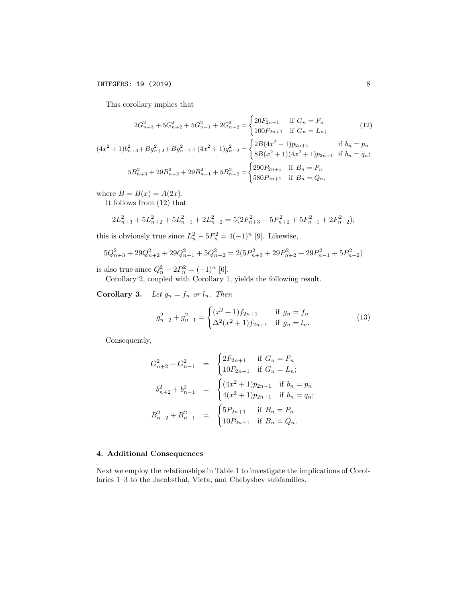This corollary implies that

$$
2G_{n+3}^2 + 5G_{n+2}^2 + 5G_{n-1}^2 + 2G_{n-2}^2 = \begin{cases} 20F_{2n+1} & \text{if } G_n = F_n \\ 100F_{2n+1} & \text{if } G_n = L_n; \end{cases}
$$
 (12)

$$
(4x^{2} + 1)b_{n+3}^{2} + Bg_{n+2}^{2} + Bg_{n-1}^{2} + (4x^{2} + 1)g_{n-2}^{2} = \begin{cases} 2B(4x^{2} + 1)p_{2n+1} & \text{if } b_{n} = p_{n} \\ 8B(x^{2} + 1)(4x^{2} + 1)p_{2n+1} & \text{if } b_{n} = q_{n}; \end{cases}
$$
  

$$
5B_{n+3}^{2} + 29B_{n+2}^{2} + 29B_{n-1}^{2} + 5B_{n-2}^{2} = \begin{cases} 290P_{2n+1} & \text{if } B_{n} = P_{n} \\ 580P_{2n+1} & \text{if } B_{n} = Q_{n}, \end{cases}
$$

where  $B = B(x) = A(2x)$ .

It follows from (12) that

$$
2L_{n+3}^2 + 5L_{n+2}^2 + 5L_{n-1}^2 + 2L_{n-2}^2 = 5(2F_{n+3}^2 + 5F_{n+2}^2 + 5F_{n-1}^2 + 2F_{n-2}^2);
$$

this is obviously true since  $L_n^2 - 5F_n^2 = 4(-1)^n$  [9]. Likewise,

$$
5Q_{n+3}^2 + 29Q_{n+2}^2 + 29Q_{n-1}^2 + 5Q_{n-2}^2 = 2(5P_{n+3}^2 + 29P_{n+2}^2 + 29P_{n-1}^2 + 5P_{n-2}^2)
$$

is also true since  $Q_n^2 - 2P_n^2 = (-1)^n$  [6].

Corollary 2, coupled with Corollary 1, yields the following result.

Corollary 3. *Let*  $g_n = f_n$  *or*  $l_n$ *. Then* 

$$
g_{n+2}^2 + g_{n-1}^2 = \begin{cases} (x^2 + 1)f_{2n+1} & \text{if } g_n = f_n \\ \Delta^2(x^2 + 1)f_{2n+1} & \text{if } g_n = l_n. \end{cases}
$$
 (13)

Consequently,

$$
G_{n+2}^2 + G_{n-1}^2 = \begin{cases} 2F_{2n+1} & \text{if } G_n = F_n \\ 10F_{2n+1} & \text{if } G_n = L_n; \end{cases}
$$
  

$$
b_{n+2}^2 + b_{n-1}^2 = \begin{cases} (4x^2 + 1)p_{2n+1} & \text{if } b_n = p_n \\ 4(x^2 + 1)p_{2n+1} & \text{if } b_n = q_n; \end{cases}
$$
  

$$
B_{n+2}^2 + B_{n-1}^2 = \begin{cases} 5P_{2n+1} & \text{if } B_n = P_n \\ 10P_{2n+1} & \text{if } B_n = Q_n. \end{cases}
$$

### 4. Additional Consequences

Next we employ the relationships in Table 1 to investigate the implications of Corollaries 1–3 to the Jacobsthal, Vieta, and Chebyshev subfamilies.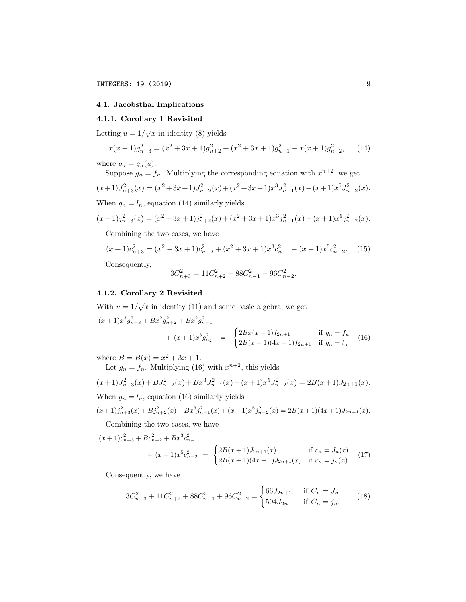# 4.1. Jacobsthal Implications

## 4.1.1. Corollary 1 Revisited

Letting  $u = 1/\sqrt{x}$  in identity (8) yields

$$
x(x+1)g_{n+3}^2 = (x^2+3x+1)g_{n+2}^2 + (x^2+3x+1)g_{n-1}^2 - x(x+1)g_{n-2}^2,
$$
 (14)

where  $g_n = g_n(u)$ .

Suppose  $g_n = f_n$ . Multiplying the corresponding equation with  $x^{n+2}$ , we get

$$
(x+1)J_{n+3}^2(x) = (x^2+3x+1)J_{n+2}^2(x) + (x^2+3x+1)x^3J_{n-1}^2(x) - (x+1)x^5J_{n-2}^2(x).
$$

When  $g_n = l_n$ , equation (14) similarly yields

$$
(x+1)j_{n+3}^{2}(x) = (x^{2}+3x+1)j_{n+2}^{2}(x) + (x^{2}+3x+1)x^{3}j_{n-1}^{2}(x) - (x+1)x^{5}j_{n-2}^{2}(x).
$$

Combining the two cases, we have

$$
(x+1)c_{n+3}^2 = (x^2+3x+1)c_{n+2}^2 + (x^2+3x+1)x^3c_{n-1}^2 - (x+1)x^5c_{n-2}^2.
$$
 (15)

Consequently,

$$
3C_{n+3}^2 = 11C_{n+2}^2 + 88C_{n-1}^2 - 96C_{n-2}^2.
$$

# 4.1.2. Corollary 2 Revisited

With  $u = 1/\sqrt{x}$  in identity (11) and some basic algebra, we get  $(x+1)x^3 g_{n+3}^2 + Bx^2 g_{n+2}^2 + Bx^2 g_{n-1}^2$ 

$$
+ (x+1)x^{3} g_{n_{2}}^{2} = \begin{cases} 2Bx(x+1)f_{2n+1} & \text{if } g_{n} = f_{n} \\ 2B(x+1)(4x+1)f_{2n+1} & \text{if } g_{n} = l_{n}, \end{cases}
$$
 (16)

where  $B = B(x) = x^2 + 3x + 1$ .

Let  $g_n = f_n$ . Multiplying (16) with  $x^{n+2}$ , this yields

$$
(x+1)J_{n+3}^2(x) + BJ_{n+2}^2(x) + Bx^3J_{n-1}^2(x) + (x+1)x^5J_{n-2}^2(x) = 2B(x+1)J_{2n+1}(x).
$$
  
When  $g_n = l_n$ , equation (16) similarly yields

$$
(x+1)j_{n+3}^{2}(x)+Bj_{n+2}^{2}(x)+Bx^{3}j_{n-1}^{2}(x)+(x+1)x^{5}j_{n-2}^{2}(x)=2B(x+1)(4x+1)J_{2n+1}(x).
$$

Combining the two cases, we have

$$
(x+1)c_{n+3}^2 + Bc_{n+2}^2 + Bx^3c_{n-1}^2
$$
  
+  $(x+1)x^5c_{n-2}^2 = \begin{cases} 2B(x+1)J_{2n+1}(x) & \text{if } c_n = J_n(x) \\ 2B(x+1)(4x+1)J_{2n+1}(x) & \text{if } c_n = j_n(x). \end{cases}$  (17)

Consequently, we have

$$
3C_{n+3}^2 + 11C_{n+2}^2 + 88C_{n-1}^2 + 96C_{n-2}^2 = \begin{cases} 66J_{2n+1} & \text{if } C_n = J_n \\ 594J_{2n+1} & \text{if } C_n = j_n. \end{cases}
$$
 (18)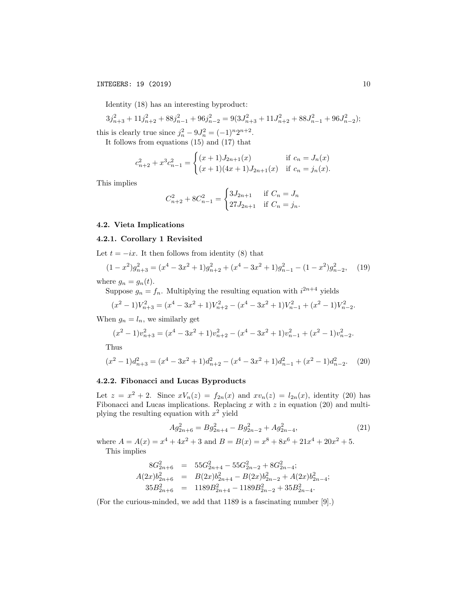# INTEGERS: 19 (2019) 10

Identity (18) has an interesting byproduct:

$$
3j_{n+3}^2 + 11j_{n+2}^2 + 88j_{n-1}^2 + 96j_{n-2}^2 = 9(3J_{n+3}^2 + 11J_{n+2}^2 + 88J_{n-1}^2 + 96J_{n-2}^2);
$$
  
this is clearly true since  $j_n^2 - 9J_n^2 = (-1)^n 2^{n+2}$ .

It follows from equations (15) and (17) that

$$
c_{n+2}^2 + x^3 c_{n-1}^2 = \begin{cases} (x+1)J_{2n+1}(x) & \text{if } c_n = J_n(x) \\ (x+1)(4x+1)J_{2n+1}(x) & \text{if } c_n = j_n(x). \end{cases}
$$

This implies

$$
C_{n+2}^2 + 8C_{n-1}^2 = \begin{cases} 3J_{2n+1} & \text{if } C_n = J_n \\ 27J_{2n+1} & \text{if } C_n = j_n. \end{cases}
$$

# 4.2. Vieta Implications

# 4.2.1. Corollary 1 Revisited

Let  $t = -ix$ . It then follows from identity (8) that

$$
(1-x^2)g_{n+3}^2 = (x^4 - 3x^2 + 1)g_{n+2}^2 + (x^4 - 3x^2 + 1)g_{n-1}^2 - (1-x^2)g_{n-2}^2, \quad (19)
$$

where  $g_n = g_n(t)$ .

Suppose  $g_n = f_n$ . Multiplying the resulting equation with  $i^{2n+4}$  yields

$$
(x^{2}-1)V_{n+3}^{2} = (x^{4}-3x^{2}+1)V_{n+2}^{2} - (x^{4}-3x^{2}+1)V_{n-1}^{2} + (x^{2}-1)V_{n-2}^{2}.
$$

When  $g_n = l_n$ , we similarly get

$$
(x^{2}-1)v_{n+3}^{2} = (x^{4}-3x^{2}+1)v_{n+2}^{2} - (x^{4}-3x^{2}+1)v_{n-1}^{2} + (x^{2}-1)v_{n-2}^{2}.
$$

Thus

$$
(x^{2}-1)d_{n+3}^{2} = (x^{4}-3x^{2}+1)d_{n+2}^{2} - (x^{4}-3x^{2}+1)d_{n-1}^{2} + (x^{2}-1)d_{n-2}^{2}.
$$
 (20)

## 4.2.2. Fibonacci and Lucas Byproducts

Let  $z = x^2 + 2$ . Since  $xV_n(z) = f_{2n}(x)$  and  $xv_n(z) = l_{2n}(x)$ , identity (20) has Fibonacci and Lucas implications. Replacing *x* with *z* in equation (20) and multiplying the resulting equation with *x*<sup>2</sup> yield

$$
Ag_{2n+6}^2 = Bg_{2n+4}^2 - Bg_{2n-2}^2 + Ag_{2n-4}^2,
$$
\n(21)

where  $A = A(x) = x^4 + 4x^2 + 3$  and  $B = B(x) = x^8 + 8x^6 + 21x^4 + 20x^2 + 5$ . This implies

$$
8G_{2n+6}^2 = 55G_{2n+4}^2 - 55G_{2n-2}^2 + 8G_{2n-4}^2;
$$
  
\n
$$
A(2x)b_{2n+6}^2 = B(2x)b_{2n+4}^2 - B(2x)b_{2n-2}^2 + A(2x)b_{2n-4}^2;
$$
  
\n
$$
35B_{2n+6}^2 = 1189B_{2n+4}^2 - 1189B_{2n-2}^2 + 35B_{2n-4}^2.
$$

(For the curious-minded, we add that 1189 is a fascinating number [9].)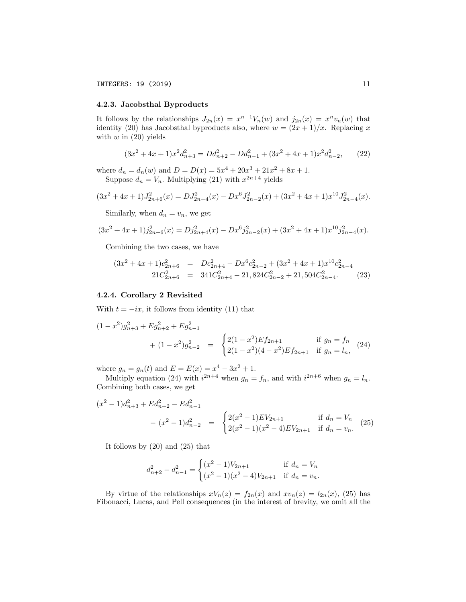### 4.2.3. Jacobsthal Byproducts

It follows by the relationships  $J_{2n}(x) = x^{n-1}V_n(w)$  and  $j_{2n}(x) = x^n v_n(w)$  that identity (20) has Jacobsthal byproducts also, where  $w = (2x + 1)/x$ . Replacing *x* with *w* in (20) yields

$$
(3x2 + 4x + 1)x2 dn+32 = Ddn+22 - Ddn-12 + (3x2 + 4x + 1)x2 dn-22, (22)
$$

where  $d_n = d_n(w)$  and  $D = D(x) = 5x^4 + 20x^3 + 21x^2 + 8x + 1$ . Suppose  $d_n = V_n$ . Multiplying (21) with  $x^{2n+4}$  yields

$$
(3x2 + 4x + 1)J2n+62(x) = DJ2n+42(x) - Dx6J2n-22(x) + (3x2 + 4x + 1)x10J2n-42(x).
$$

Similarly, when  $d_n = v_n$ , we get

$$
(3x2 + 4x + 1)j2n+62(x) = Dj2n+42(x) - Dx6j2n-22(x) + (3x2 + 4x + 1)x10j2n-42(x).
$$

Combining the two cases, we have

$$
(3x2 + 4x + 1)c2n+62 = Dc2n+42 - Dx6c2n-22 + (3x2 + 4x + 1)x10c2n-4221C2n+62 = 341C2n+42 - 21,824C2n-22 + 21,504C2n-42. (23)
$$

#### 4.2.4. Corollary 2 Revisited

With  $t = -ix$ , it follows from identity (11) that

$$
(1 - x^{2})g_{n+3}^{2} + Eg_{n+2}^{2} + Eg_{n-1}^{2}
$$
  
+ 
$$
(1 - x^{2})g_{n-2}^{2} = \begin{cases} 2(1 - x^{2})Ef_{2n+1} & \text{if } g_{n} = f_{n} \\ 2(1 - x^{2})(4 - x^{2})Ef_{2n+1} & \text{if } g_{n} = l_{n}, \end{cases}
$$
(24)

where  $g_n = g_n(t)$  and  $E = E(x) = x^4 - 3x^2 + 1$ .

Multiply equation (24) with  $i^{2n+4}$  when  $g_n = f_n$ , and with  $i^{2n+6}$  when  $g_n = l_n$ . Combining both cases, we get

$$
(x^{2} - 1)d_{n+3}^{2} + Ed_{n+2}^{2} - Ed_{n-1}^{2}
$$
  
-  $(x^{2} - 1)d_{n-2}^{2}$  = 
$$
\begin{cases} 2(x^{2} - 1)EV_{2n+1} & \text{if } d_{n} = V_{n} \\ 2(x^{2} - 1)(x^{2} - 4)EV_{2n+1} & \text{if } d_{n} = v_{n} \end{cases}
$$
 (25)

It follows by (20) and (25) that

$$
d_{n+2}^2 - d_{n-1}^2 = \begin{cases} (x^2 - 1)V_{2n+1} & \text{if } d_n = V_n \\ (x^2 - 1)(x^2 - 4)V_{2n+1} & \text{if } d_n = v_n. \end{cases}
$$

By virtue of the relationships  $xV_n(z) = f_{2n}(x)$  and  $xv_n(z) = l_{2n}(x)$ , (25) has Fibonacci, Lucas, and Pell consequences (in the interest of brevity, we omit all the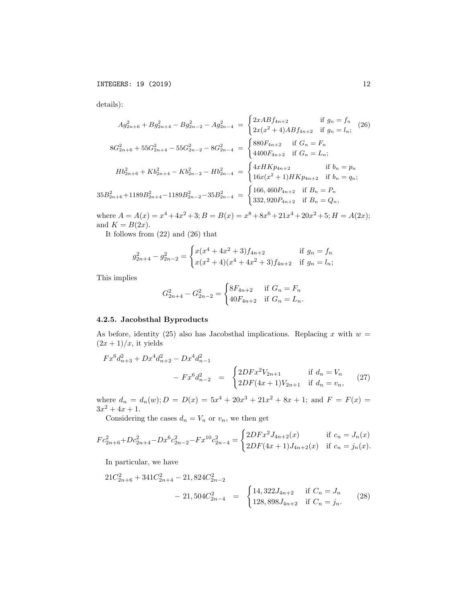details):

$$
Ag_{2n+6}^{2} + Bg_{2n+4}^{2} - Bg_{2n-2}^{2} - Ag_{2n-4}^{2} = \begin{cases} 2xABf_{4n+2} & \text{if } g_{n} = f_{n} \\ 2x(x^{2} + 4)ABf_{4n+2} & \text{if } g_{n} = l_{n}; \end{cases}
$$
\n
$$
8G_{2n+6}^{2} + 55G_{2n+4}^{2} - 55G_{2n-2}^{2} - 8G_{2n-4}^{2} = \begin{cases} 880F_{4n+2} & \text{if } G_{n} = F_{n} \\ 4400F_{4n+2} & \text{if } G_{n} = L_{n}; \end{cases}
$$
\n
$$
Hb_{2n+6}^{2} + Kb_{2n+4}^{2} - Kb_{2n-2}^{2} - Hb_{2n-4}^{2} = \begin{cases} 4xHKp_{4n+2} & \text{if } b_{n} = p_{n} \\ 16x(x^{2} + 1)HKp_{4n+2} & \text{if } b_{n} = q_{n}; \end{cases}
$$
\n
$$
35B_{2n+6}^{2} + 1189B_{2n+4}^{2} - 1189B_{2n-2}^{2} - 35B_{2n-4}^{2} = \begin{cases} 166,460P_{4n+2} & \text{if } B_{n} = P_{n} \\ 332,920P_{4n+2} & \text{if } B_{n} = Q_{n}, \end{cases}
$$

where  $A = A(x) = x^4 + 4x^2 + 3$ ;  $B = B(x) = x^8 + 8x^6 + 21x^4 + 20x^2 + 5$ ;  $H = A(2x)$ ; and  $K = B(2x)$ .

It follows from (22) and (26) that

 $\overline{\phantom{a}}$ 

$$
g_{2n+4}^2 - g_{2n-2}^2 = \begin{cases} x(x^4 + 4x^2 + 3)f_{4n+2} & \text{if } g_n = f_n \\ x(x^2 + 4)(x^4 + 4x^2 + 3)f_{4n+2} & \text{if } g_n = l_n; \end{cases}
$$

This implies

$$
G_{2n+4}^2 - G_{2n-2}^2 = \begin{cases} 8F_{4n+2} & \text{if } G_n = F_n \\ 40F_{4n+2} & \text{if } G_n = L_n. \end{cases}
$$

# 4.2.5. Jacobsthal Byproducts

As before, identity (25) also has Jacobsthal implications. Replacing  $x$  with  $w =$  $(2x+1)/x$ , it yields

$$
Fx^{6}d_{n+3}^{2} + Dx^{4}d_{n+2}^{2} - Dx^{4}d_{n-1}^{2}
$$
  
- 
$$
Fx^{6}d_{n-2}^{2} = \begin{cases} 2DFx^{2}V_{2n+1} & \text{if } d_{n} = V_{n} \\ 2DF(4x+1)V_{2n+1} & \text{if } d_{n} = v_{n}, \end{cases}
$$
 (27)

where  $d_n = d_n(w)$ ;  $D = D(x) = 5x^4 + 20x^3 + 21x^2 + 8x + 1$ ; and  $F = F(x) =$  $3x^2 + 4x + 1.$ 

Considering the cases  $d_n = V_n$  or  $v_n$ , we then get

$$
Fc_{2n+6}^2+Dc_{2n+4}^2-Dx^6c_{2n-2}^2-Fx^{10}c_{2n-4}^2=\begin{cases} 2DFx^2J_{4n+2}(x) & \text{if } c_n=J_n(x) \\ 2DF(4x+1)J_{4n+2}(x) & \text{if } c_n=j_n(x). \end{cases}
$$

In particular, we have

$$
21C_{2n+6}^{2} + 341C_{2n+4}^{2} - 21,824C_{2n-2}^{2}
$$
  
- 21,504C\_{2n-4}^{2} = 
$$
\begin{cases} 14,322J_{4n+2} & \text{if } C_n = J_n \\ 128,898J_{4n+2} & \text{if } C_n = j_n. \end{cases}
$$
 (28)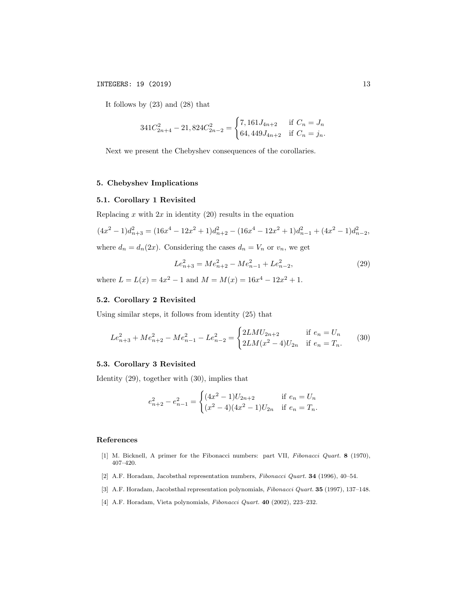It follows by (23) and (28) that

$$
341C_{2n+4}^2 - 21,824C_{2n-2}^2 = \begin{cases} 7,161J_{4n+2} & \text{if } C_n = J_n \\ 64,449J_{4n+2} & \text{if } C_n = j_n. \end{cases}
$$

Next we present the Chebyshev consequences of the corollaries.

#### 5. Chebyshev Implications

# 5.1. Corollary 1 Revisited

Replacing  $x$  with  $2x$  in identity  $(20)$  results in the equation

$$
(4x^2 - 1)d_{n+3}^2 = (16x^4 - 12x^2 + 1)d_{n+2}^2 - (16x^4 - 12x^2 + 1)d_{n-1}^2 + (4x^2 - 1)d_{n-2}^2,
$$

where  $d_n = d_n(2x)$ . Considering the cases  $d_n = V_n$  or  $v_n$ , we get

$$
Le_{n+3}^2 = Me_{n+2}^2 - Me_{n-1}^2 + Le_{n-2}^2,
$$
\n(29)

where  $L = L(x) = 4x^2 - 1$  and  $M = M(x) = 16x^4 - 12x^2 + 1$ .

# 5.2. Corollary 2 Revisited

Using similar steps, it follows from identity (25) that

$$
Le_{n+3}^2 + Me_{n+2}^2 - Me_{n-1}^2 - Le_{n-2}^2 = \begin{cases} 2LMU_{2n+2} & \text{if } e_n = U_n \\ 2LM(x^2 - 4)U_{2n} & \text{if } e_n = T_n. \end{cases}
$$
 (30)

# 5.3. Corollary 3 Revisited

Identity (29), together with (30), implies that

$$
e_{n+2}^2 - e_{n-1}^2 = \begin{cases} (4x^2 - 1)U_{2n+2} & \text{if } e_n = U_n \\ (x^2 - 4)(4x^2 - 1)U_{2n} & \text{if } e_n = T_n. \end{cases}
$$

# References

- [1] M. Bicknell, A primer for the Fibonacci numbers: part VII, *Fibonacci Quart.* 8 (1970), 407–420.
- [2] A.F. Horadam, Jacobsthal representation numbers, *Fibonacci Quart.* 34 (1996), 40–54.
- [3] A.F. Horadam, Jacobsthal representation polynomials, *Fibonacci Quart.* 35 (1997), 137–148.
- [4] A.F. Horadam, Vieta polynomials, *Fibonacci Quart.* 40 (2002), 223–232.